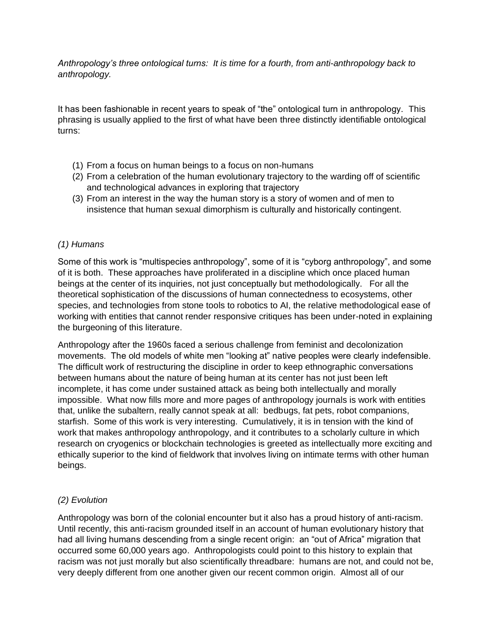*Anthropology's three ontological turns: It is time for a fourth, from anti-anthropology back to anthropology.*

It has been fashionable in recent years to speak of "the" ontological turn in anthropology. This phrasing is usually applied to the first of what have been three distinctly identifiable ontological turns:

- (1) From a focus on human beings to a focus on non-humans
- (2) From a celebration of the human evolutionary trajectory to the warding off of scientific and technological advances in exploring that trajectory
- (3) From an interest in the way the human story is a story of women and of men to insistence that human sexual dimorphism is culturally and historically contingent.

### *(1) Humans*

Some of this work is "multispecies anthropology", some of it is "cyborg anthropology", and some of it is both. These approaches have proliferated in a discipline which once placed human beings at the center of its inquiries, not just conceptually but methodologically. For all the theoretical sophistication of the discussions of human connectedness to ecosystems, other species, and technologies from stone tools to robotics to AI, the relative methodological ease of working with entities that cannot render responsive critiques has been under-noted in explaining the burgeoning of this literature.

Anthropology after the 1960s faced a serious challenge from feminist and decolonization movements. The old models of white men "looking at" native peoples were clearly indefensible. The difficult work of restructuring the discipline in order to keep ethnographic conversations between humans about the nature of being human at its center has not just been left incomplete, it has come under sustained attack as being both intellectually and morally impossible. What now fills more and more pages of anthropology journals is work with entities that, unlike the subaltern, really cannot speak at all: bedbugs, fat pets, robot companions, starfish. Some of this work is very interesting. Cumulatively, it is in tension with the kind of work that makes anthropology anthropology, and it contributes to a scholarly culture in which research on cryogenics or blockchain technologies is greeted as intellectually more exciting and ethically superior to the kind of fieldwork that involves living on intimate terms with other human beings.

# *(2) Evolution*

Anthropology was born of the colonial encounter but it also has a proud history of anti-racism. Until recently, this anti-racism grounded itself in an account of human evolutionary history that had all living humans descending from a single recent origin: an "out of Africa" migration that occurred some 60,000 years ago. Anthropologists could point to this history to explain that racism was not just morally but also scientifically threadbare: humans are not, and could not be, very deeply different from one another given our recent common origin. Almost all of our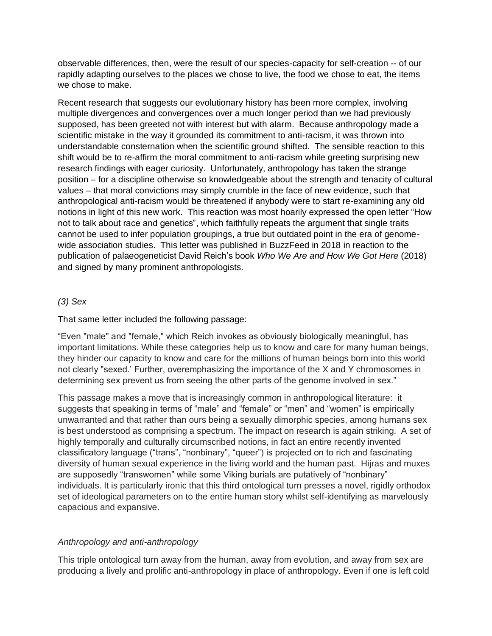observable differences, then, were the result of our species-capacity for self-creation -- of our rapidly adapting ourselves to the places we chose to live, the food we chose to eat, the items we chose to make.

Recent research that suggests our evolutionary history has been more complex, involving multiple divergences and convergences over a much longer period than we had previously supposed, has been greeted not with interest but with alarm. Because anthropology made a scientific mistake in the way it grounded its commitment to anti-racism, it was thrown into understandable consternation when the scientific ground shifted. The sensible reaction to this shift would be to re-affirm the moral commitment to anti-racism while greeting surprising new research findings with eager curiosity. Unfortunately, anthropology has taken the strange position – for a discipline otherwise so knowledgeable about the strength and tenacity of cultural values – that moral convictions may simply crumble in the face of new evidence, such that anthropological anti-racism would be threatened if anybody were to start re-examining any old notions in light of this new work. This reaction was most hoarily expressed the open letter "How not to talk about race and genetics", which faithfully repeats the argument that single traits cannot be used to infer population groupings, a true but outdated point in the era of genomewide association studies. This letter was published in BuzzFeed in 2018 in reaction to the publication of palaeogeneticist David Reich's book *Who We Are and How We Got Here* (2018) and signed by many prominent anthropologists.

### *(3) Sex*

### That same letter included the following passage:

"Even "male" and "female," which Reich invokes as obviously biologically meaningful, has important limitations. While these categories help us to know and care for many human beings, they hinder our capacity to know and care for the millions of human beings born into this world not clearly "sexed.' Further, overemphasizing the importance of the X and Y chromosomes in determining sex prevent us from seeing the other parts of the genome involved in sex."

This passage makes a move that is increasingly common in anthropological literature: it suggests that speaking in terms of "male" and "female" or "men" and "women" is empirically unwarranted and that rather than ours being a sexually dimorphic species, among humans sex is best understood as comprising a spectrum. The impact on research is again striking. A set of highly temporally and culturally circumscribed notions, in fact an entire recently invented classificatory language ("trans", "nonbinary", "queer") is projected on to rich and fascinating diversity of human sexual experience in the living world and the human past. Hijras and muxes are supposedly "transwomen" while some Viking burials are putatively of "nonbinary" individuals. It is particularly ironic that this third ontological turn presses a novel, rigidly orthodox set of ideological parameters on to the entire human story whilst self-identifying as marvelously capacious and expansive.

# *Anthropology and anti-anthropology*

This triple ontological turn away from the human, away from evolution, and away from sex are producing a lively and prolific anti-anthropology in place of anthropology. Even if one is left cold